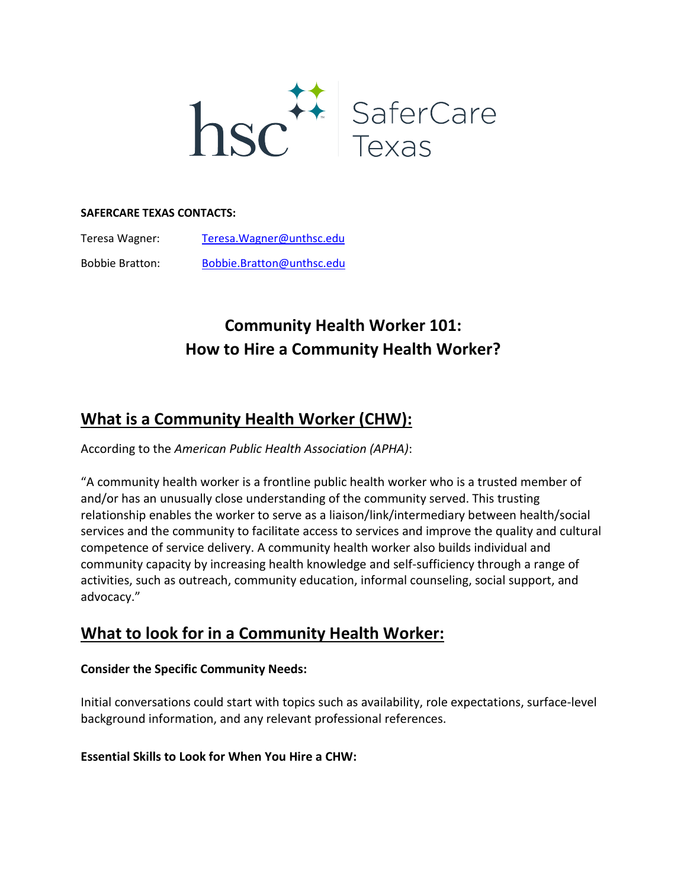

#### **SAFERCARE TEXAS CONTACTS:**

| Teresa Wagner: | Teresa. Wagner@unthsc.edu |
|----------------|---------------------------|
|                |                           |

Bobbie Bratton: [Bobbie.Bratton@unthsc.edu](mailto:Bobbie.Bratton@unthsc.edu) 

# **Community Health Worker 101: How to Hire a Community Health Worker?**

# **What is a Community Health Worker (CHW):**

According to the *American Public Health Association (APHA)*:

"A community health worker is a frontline public health worker who is a trusted member of and/or has an unusually close understanding of the community served. This trusting relationship enables the worker to serve as a liaison/link/intermediary between health/social services and the community to facilitate access to services and improve the quality and cultural competence of service delivery. A community health worker also builds individual and community capacity by increasing health knowledge and self-sufficiency through a range of activities, such as outreach, community education, informal counseling, social support, and advocacy."

# **What to look for in a Community Health Worker:**

#### **Consider the Specific Community Needs:**

Initial conversations could start with topics such as availability, role expectations, surface-level background information, and any relevant professional references.

#### **Essential Skills to Look for When You Hire a CHW:**